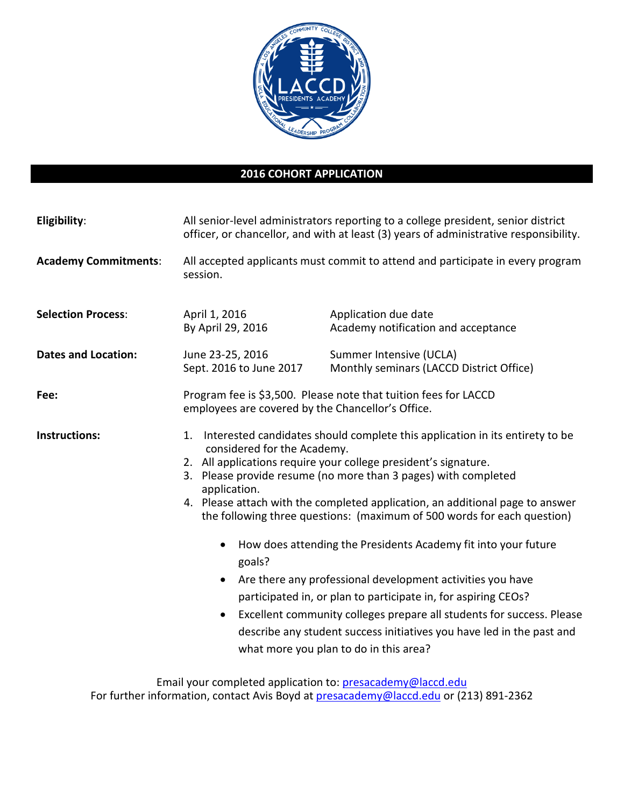

## **2016 COHORT APPLICATION**

| Eligibility:                | All senior-level administrators reporting to a college president, senior district<br>officer, or chancellor, and with at least (3) years of administrative responsibility.                                                                                                                                                                                                                                                                                                                                                                                                                                                                                                                                                                                                                                                                                                        |                                                                     |
|-----------------------------|-----------------------------------------------------------------------------------------------------------------------------------------------------------------------------------------------------------------------------------------------------------------------------------------------------------------------------------------------------------------------------------------------------------------------------------------------------------------------------------------------------------------------------------------------------------------------------------------------------------------------------------------------------------------------------------------------------------------------------------------------------------------------------------------------------------------------------------------------------------------------------------|---------------------------------------------------------------------|
| <b>Academy Commitments:</b> | All accepted applicants must commit to attend and participate in every program<br>session.                                                                                                                                                                                                                                                                                                                                                                                                                                                                                                                                                                                                                                                                                                                                                                                        |                                                                     |
| <b>Selection Process:</b>   | April 1, 2016<br>By April 29, 2016                                                                                                                                                                                                                                                                                                                                                                                                                                                                                                                                                                                                                                                                                                                                                                                                                                                | Application due date<br>Academy notification and acceptance         |
| <b>Dates and Location:</b>  | June 23-25, 2016<br>Sept. 2016 to June 2017                                                                                                                                                                                                                                                                                                                                                                                                                                                                                                                                                                                                                                                                                                                                                                                                                                       | Summer Intensive (UCLA)<br>Monthly seminars (LACCD District Office) |
| Fee:                        | Program fee is \$3,500. Please note that tuition fees for LACCD<br>employees are covered by the Chancellor's Office.                                                                                                                                                                                                                                                                                                                                                                                                                                                                                                                                                                                                                                                                                                                                                              |                                                                     |
| <b>Instructions:</b>        | Interested candidates should complete this application in its entirety to be<br>1.<br>considered for the Academy.<br>2. All applications require your college president's signature.<br>3. Please provide resume (no more than 3 pages) with completed<br>application.<br>4. Please attach with the completed application, an additional page to answer<br>the following three questions: (maximum of 500 words for each question)<br>How does attending the Presidents Academy fit into your future<br>$\bullet$<br>goals?<br>Are there any professional development activities you have<br>$\bullet$<br>participated in, or plan to participate in, for aspiring CEOs?<br>Excellent community colleges prepare all students for success. Please<br>$\bullet$<br>describe any student success initiatives you have led in the past and<br>what more you plan to do in this area? |                                                                     |

Email your completed application to: **presacademy@laccd.edu** For further information, contact Avis Boyd at **presacademy@laccd.edu** or (213) 891-2362